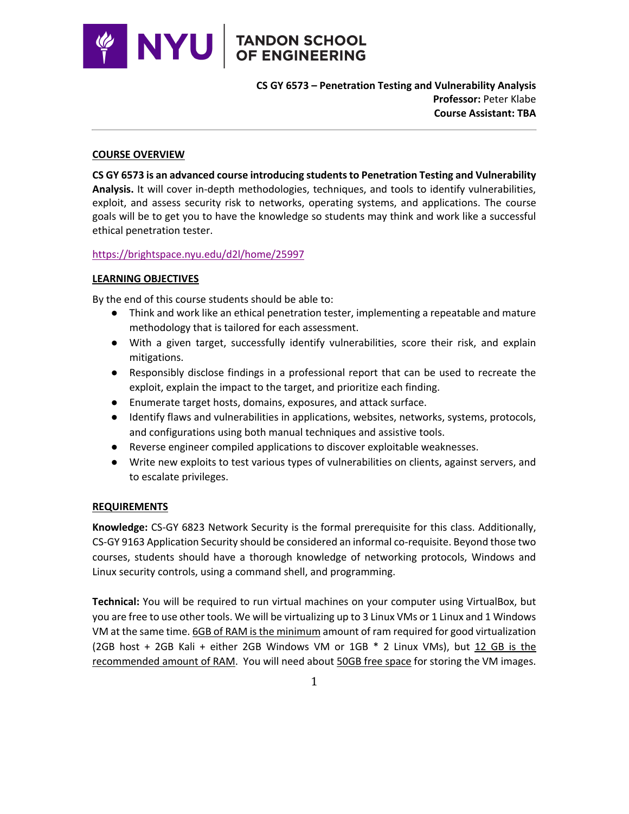

**CS GY 6573 – Penetration Testing and Vulnerability Analysis Professor:** Peter Klabe **Course Assistant: TBA** 

#### **COURSE OVERVIEW**

**CS GY 6573 is an advanced course introducing students to Penetration Testing and Vulnerability Analysis.** It will cover in-depth methodologies, techniques, and tools to identify vulnerabilities, exploit, and assess security risk to networks, operating systems, and applications. The course goals will be to get you to have the knowledge so students may think and work like a successful ethical penetration tester.

### https://brightspace.nyu.edu/d2l/home/25997

### **LEARNING OBJECTIVES**

By the end of this course students should be able to:

- Think and work like an ethical penetration tester, implementing a repeatable and mature methodology that is tailored for each assessment.
- With a given target, successfully identify vulnerabilities, score their risk, and explain mitigations.
- Responsibly disclose findings in a professional report that can be used to recreate the exploit, explain the impact to the target, and prioritize each finding.
- Enumerate target hosts, domains, exposures, and attack surface.
- Identify flaws and vulnerabilities in applications, websites, networks, systems, protocols, and configurations using both manual techniques and assistive tools.
- Reverse engineer compiled applications to discover exploitable weaknesses.
- Write new exploits to test various types of vulnerabilities on clients, against servers, and to escalate privileges.

# **REQUIREMENTS**

**Knowledge:** CS-GY 6823 Network Security is the formal prerequisite for this class. Additionally, CS-GY 9163 Application Security should be considered an informal co-requisite. Beyond those two courses, students should have a thorough knowledge of networking protocols, Windows and Linux security controls, using a command shell, and programming.

**Technical:** You will be required to run virtual machines on your computer using VirtualBox, but you are free to use other tools. We will be virtualizing up to 3 Linux VMs or 1 Linux and 1 Windows VM at the same time. 6GB of RAM is the minimum amount of ram required for good virtualization (2GB host + 2GB Kali + either 2GB Windows VM or 1GB \* 2 Linux VMs), but 12 GB is the recommended amount of RAM. You will need about 50GB free space for storing the VM images.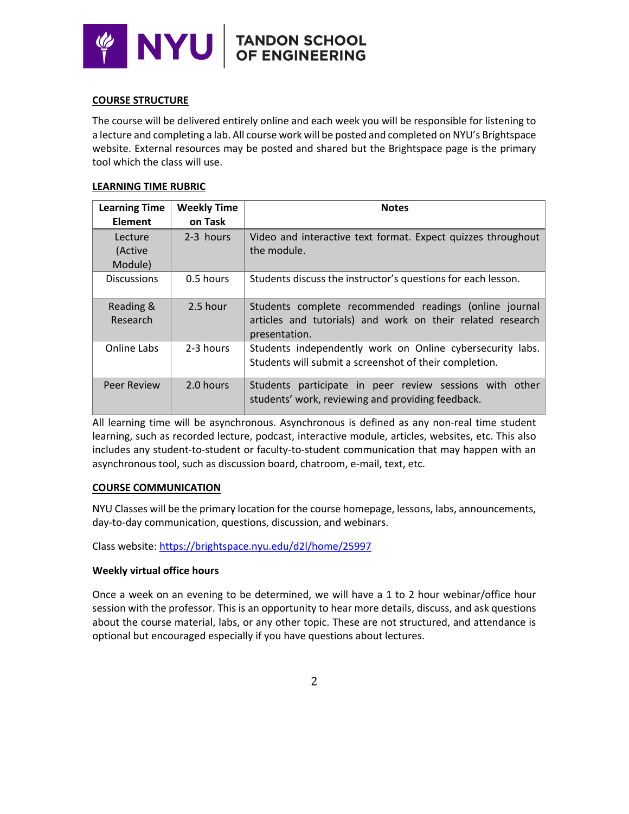

### **COURSE STRUCTURE**

The course will be delivered entirely online and each week you will be responsible for listening to a lecture and completing a lab. All course work will be posted and completed on NYU's Brightspace website. External resources may be posted and shared but the Brightspace page is the primary tool which the class will use.

### **LEARNING TIME RUBRIC**

| <b>Learning Time</b><br><b>Element</b> | <b>Weekly Time</b><br>on Task | <b>Notes</b>                                                                                                                          |
|----------------------------------------|-------------------------------|---------------------------------------------------------------------------------------------------------------------------------------|
| Lecture<br>(Active<br>Module)          | 2-3 hours                     | Video and interactive text format. Expect quizzes throughout<br>the module.                                                           |
| <b>Discussions</b>                     | 0.5 hours                     | Students discuss the instructor's questions for each lesson.                                                                          |
| Reading &<br>Research                  | 2.5 hour                      | Students complete recommended readings (online journal<br>articles and tutorials) and work on their related research<br>presentation. |
| Online Labs                            | 2-3 hours                     | Students independently work on Online cybersecurity labs.<br>Students will submit a screenshot of their completion.                   |
| <b>Peer Review</b>                     | 2.0 hours                     | Students participate in peer review sessions with other<br>students' work, reviewing and providing feedback.                          |

All learning time will be asynchronous. Asynchronous is defined as any non-real time student learning, such as recorded lecture, podcast, interactive module, articles, websites, etc. This also includes any student-to-student or faculty-to-student communication that may happen with an asynchronous tool, such as discussion board, chatroom, e-mail, text, etc.

#### **COURSE COMMUNICATION**

NYU Classes will be the primary location for the course homepage, lessons, labs, announcements, day-to-day communication, questions, discussion, and webinars.

Class website: https://brightspace.nyu.edu/d2l/home/25997

# **Weekly virtual office hours**

Once a week on an evening to be determined, we will have a 1 to 2 hour webinar/office hour session with the professor. This is an opportunity to hear more details, discuss, and ask questions about the course material, labs, or any other topic. These are not structured, and attendance is optional but encouraged especially if you have questions about lectures.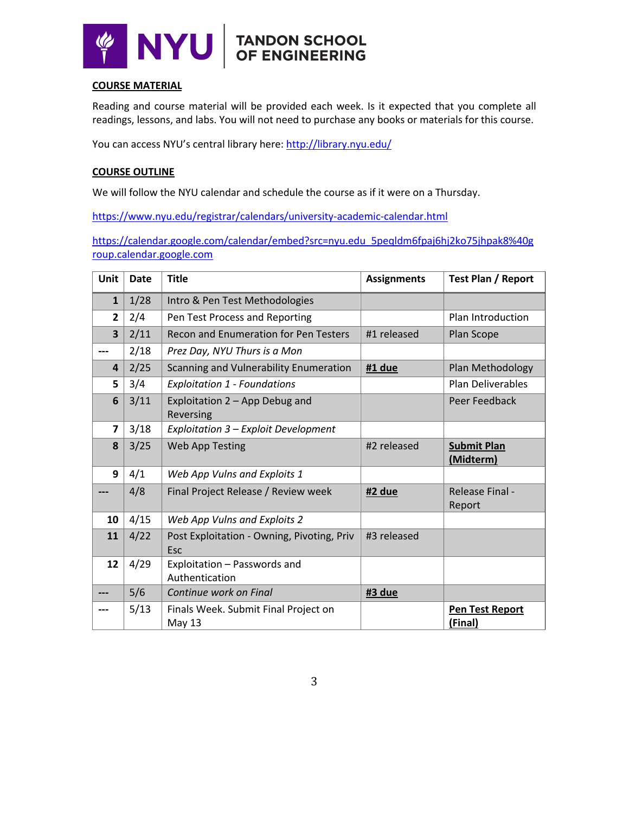

# **COURSE MATERIAL**

Reading and course material will be provided each week. Is it expected that you complete all readings, lessons, and labs. You will not need to purchase any books or materials for this course.

You can access NYU's central library here: http://library.nyu.edu/

# **COURSE OUTLINE**

We will follow the NYU calendar and schedule the course as if it were on a Thursday.

https://www.nyu.edu/registrar/calendars/university-academic-calendar.html

https://calendar.google.com/calendar/embed?src=nyu.edu\_5peqldm6fpaj6hj2ko75jhpak8%40g roup.calendar.google.com

| Unit                    | Date | <b>Title</b>                                      | <b>Assignments</b> | <b>Test Plan / Report</b>       |
|-------------------------|------|---------------------------------------------------|--------------------|---------------------------------|
| $\mathbf{1}$            | 1/28 | Intro & Pen Test Methodologies                    |                    |                                 |
| $\overline{2}$          | 2/4  | Pen Test Process and Reporting                    |                    | Plan Introduction               |
| $\overline{\mathbf{3}}$ | 2/11 | <b>Recon and Enumeration for Pen Testers</b>      | #1 released        | Plan Scope                      |
|                         | 2/18 | Prez Day, NYU Thurs is a Mon                      |                    |                                 |
| 4                       | 2/25 | Scanning and Vulnerability Enumeration            | #1 due             | Plan Methodology                |
| 5                       | 3/4  | <b>Exploitation 1 - Foundations</b>               |                    | <b>Plan Deliverables</b>        |
| 6                       | 3/11 | Exploitation 2 - App Debug and<br>Reversing       |                    | Peer Feedback                   |
| $\overline{\mathbf{z}}$ | 3/18 | Exploitation 3 - Exploit Development              |                    |                                 |
| 8                       | 3/25 | <b>Web App Testing</b>                            | #2 released        | <b>Submit Plan</b><br>(Midterm) |
| 9                       | 4/1  | Web App Vulns and Exploits 1                      |                    |                                 |
|                         | 4/8  | Final Project Release / Review week               | #2 due             | Release Final -<br>Report       |
| 10                      | 4/15 | Web App Vulns and Exploits 2                      |                    |                                 |
| 11                      | 4/22 | Post Exploitation - Owning, Pivoting, Priv<br>Esc | #3 released        |                                 |
| 12                      | 4/29 | Exploitation - Passwords and<br>Authentication    |                    |                                 |
| ---                     | 5/6  | Continue work on Final                            | #3 due             |                                 |
|                         | 5/13 | Finals Week. Submit Final Project on<br>May 13    |                    | Pen Test Report<br>(Final)      |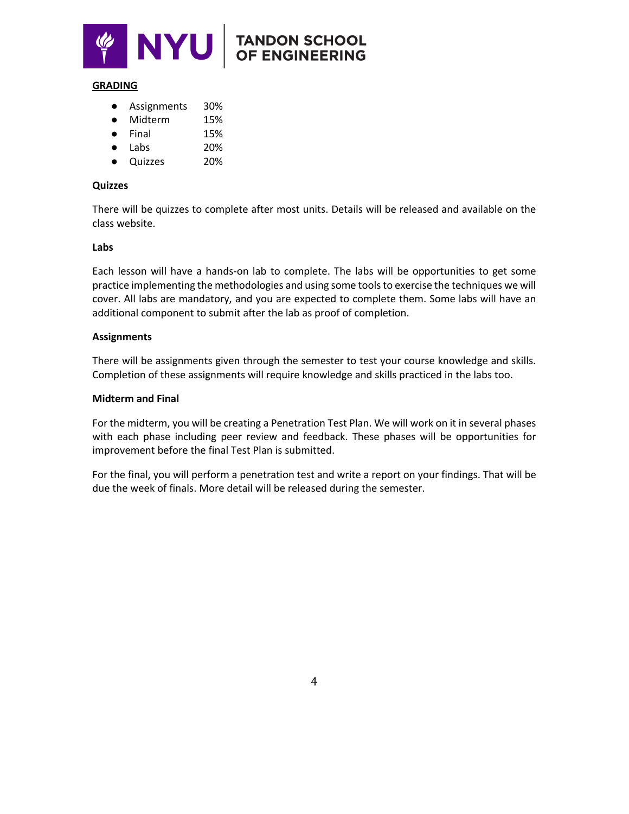

# **TANDON SCHOOL<br>OF ENGINEERING**

#### **GRADING**

- Assignments 30%
- Midterm 15%
- Final 15%
- Labs 20%
- Quizzes 20%

### **Quizzes**

There will be quizzes to complete after most units. Details will be released and available on the class website.

#### **Labs**

Each lesson will have a hands-on lab to complete. The labs will be opportunities to get some practice implementing the methodologies and using some tools to exercise the techniques we will cover. All labs are mandatory, and you are expected to complete them. Some labs will have an additional component to submit after the lab as proof of completion.

# **Assignments**

There will be assignments given through the semester to test your course knowledge and skills. Completion of these assignments will require knowledge and skills practiced in the labs too.

### **Midterm and Final**

For the midterm, you will be creating a Penetration Test Plan. We will work on it in several phases with each phase including peer review and feedback. These phases will be opportunities for improvement before the final Test Plan is submitted.

For the final, you will perform a penetration test and write a report on your findings. That will be due the week of finals. More detail will be released during the semester.